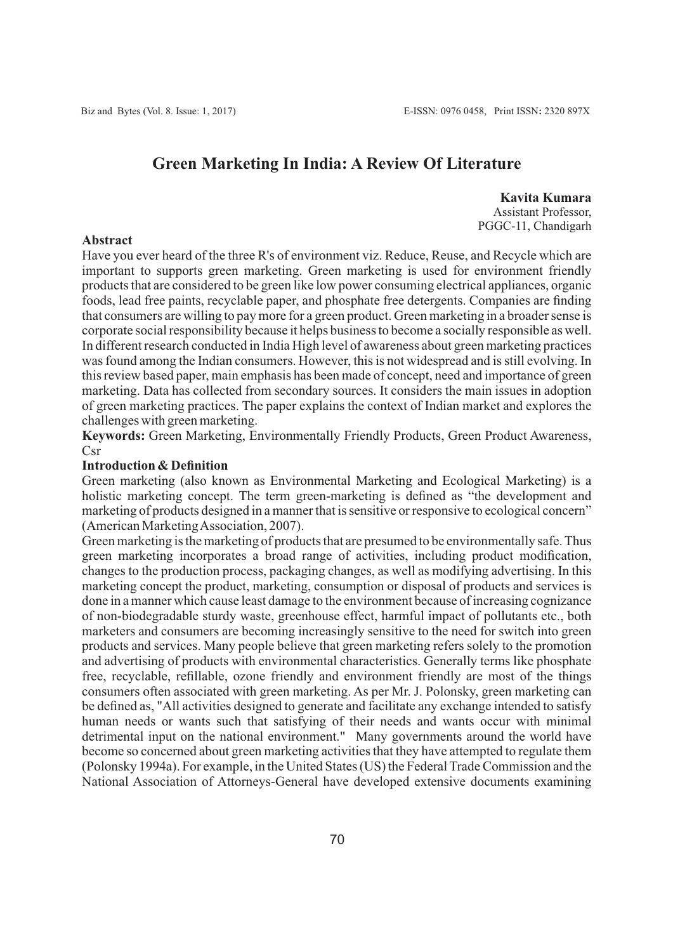# **Green Marketing In India: A Review Of Literature**

**Kavita Kumara** Assistant Professor, PGGC-11, Chandigarh

## **Abstract**

Have you ever heard of the three R's of environment viz. Reduce, Reuse, and Recycle which are important to supports green marketing. Green marketing is used for environment friendly products that are considered to be green like low power consuming electrical appliances, organic foods, lead free paints, recyclable paper, and phosphate free detergents. Companies are finding that consumers are willing to pay more for a green product. Green marketing in a broader sense is corporate social responsibility because it helps business to become a socially responsible as well. In different research conducted in India High level of awareness about green marketing practices was found among the Indian consumers. However, this is not widespread and is still evolving. In this review based paper, main emphasis has been made of concept, need and importance of green marketing. Data has collected from secondary sources. It considers the main issues in adoption of green marketing practices. The paper explains the context of Indian market and explores the challenges with green marketing.

**Keywords:** Green Marketing, Environmentally Friendly Products, Green Product Awareness, Csr

## **Introduction & Definition**

Green marketing (also known as Environmental Marketing and Ecological Marketing) is a holistic marketing concept. The term green-marketing is defined as "the development and marketing of products designed in a manner that is sensitive or responsive to ecological concern" (American Marketing Association, 2007).

Green marketing is the marketing of products that are presumed to be environmentally safe. Thus green marketing incorporates a broad range of activities, including product modification, changes to the production process, packaging changes, as well as modifying advertising. In this marketing concept the product, marketing, consumption or disposal of products and services is done in a manner which cause least damage to the environment because of increasing cognizance of non-biodegradable sturdy waste, greenhouse effect, harmful impact of pollutants etc., both marketers and consumers are becoming increasingly sensitive to the need for switch into green products and services. Many people believe that green marketing refers solely to the promotion and advertising of products with environmental characteristics. Generally terms like phosphate free, recyclable, refillable, ozone friendly and environment friendly are most of the things consumers often associated with green marketing. As per Mr. J. Polonsky, green marketing can be defined as, "All activities designed to generate and facilitate any exchange intended to satisfy human needs or wants such that satisfying of their needs and wants occur with minimal detrimental input on the national environment." Many governments around the world have become so concerned about green marketing activities that they have attempted to regulate them (Polonsky 1994a). For example, in the United States (US) the Federal Trade Commission and the National Association of Attorneys-General have developed extensive documents examining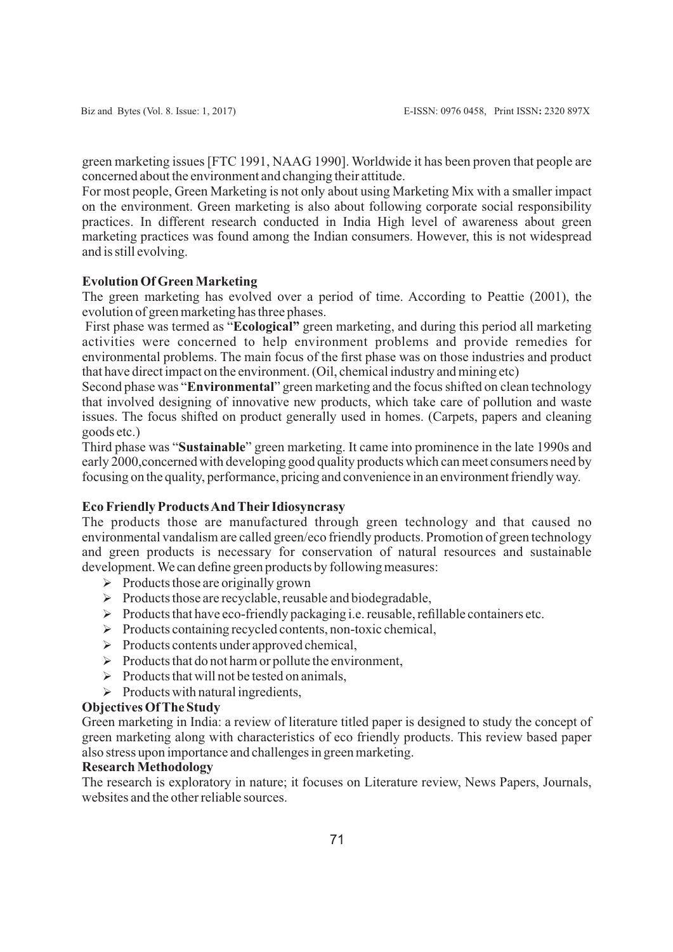green marketing issues [FTC 1991, NAAG 1990]. Worldwide it has been proven that people are concerned about the environment and changing their attitude.

For most people, Green Marketing is not only about using Marketing Mix with a smaller impact on the environment. Green marketing is also about following corporate social responsibility practices. In different research conducted in India High level of awareness about green marketing practices was found among the Indian consumers. However, this is not widespread and is still evolving.

# **Evolution Of Green Marketing**

The green marketing has evolved over a period of time. According to Peattie (2001), the evolution of green marketing has three phases.

First phase was termed as "**Ecological"** green marketing, and during this period all marketing activities were concerned to help environment problems and provide remedies for environmental problems. The main focus of the first phase was on those industries and product that have direct impact on the environment. (Oil, chemical industry and mining etc)

Second phase was "**Environmental**" green marketing and the focus shifted on clean technology that involved designing of innovative new products, which take care of pollution and waste issues. The focus shifted on product generally used in homes. (Carpets, papers and cleaning goods etc.)

Third phase was "**Sustainable**" green marketing. It came into prominence in the late 1990s and early 2000,concerned with developing good quality products which can meet consumers need by focusing on the quality, performance, pricing and convenience in an environment friendly way.

## **Eco Friendly Products And Their Idiosyncrasy**

The products those are manufactured through green technology and that caused no environmental vandalism are called green/eco friendly products. Promotion of green technology and green products is necessary for conservation of natural resources and sustainable development. We can define green products by following measures:

- $\triangleright$  Products those are originally grown
- $\triangleright$  Products those are recyclable, reusable and biodegradable,
- $\triangleright$  Products that have eco-friendly packaging i.e. reusable, refillable containers etc.
- $\triangleright$  Products containing recycled contents, non-toxic chemical,
- $\triangleright$  Products contents under approved chemical,
- $\triangleright$  Products that do not harm or pollute the environment,
- $\triangleright$  Products that will not be tested on animals.
- $\triangleright$  Products with natural ingredients,

# **Objectives Of The Study**

Green marketing in India: a review of literature titled paper is designed to study the concept of green marketing along with characteristics of eco friendly products. This review based paper also stress upon importance and challenges in green marketing.

# **Research Methodology**

The research is exploratory in nature; it focuses on Literature review, News Papers, Journals, websites and the other reliable sources.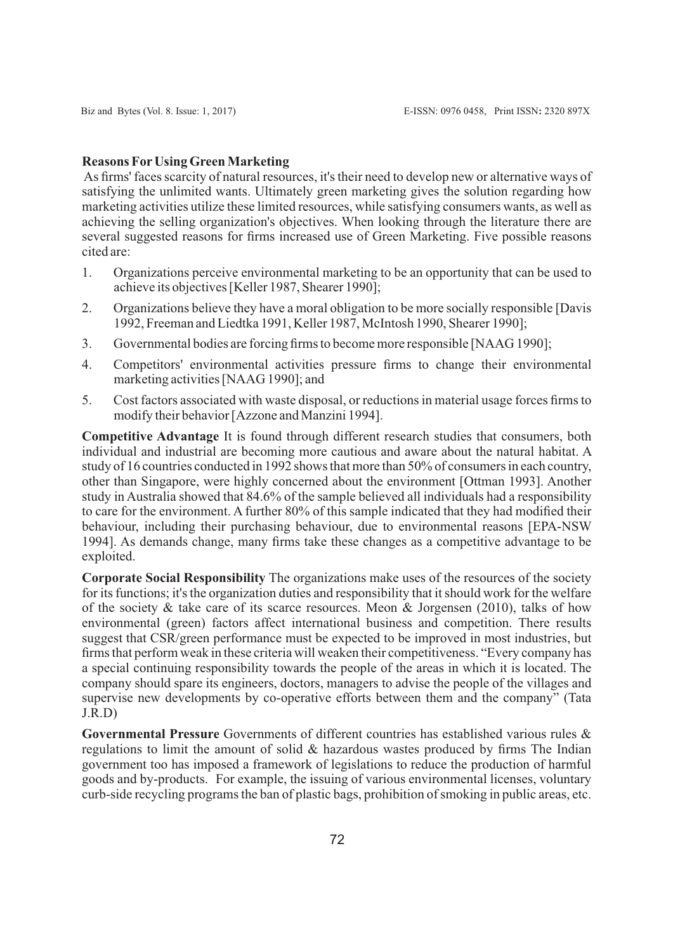## **Reasons ForUsing Green Marketing**

As firms' faces scarcity of natural resources, it's their need to develop new or alternative ways of satisfying the unlimited wants. Ultimately green marketing gives the solution regarding how marketing activities utilize these limited resources, while satisfying consumers wants, as well as achieving the selling organization's objectives. When looking through the literature there are several suggested reasons for firms increased use of Green Marketing. Five possible reasons cited are:

- 1. Organizations perceive environmental marketing to be an opportunity that can be used to achieve its objectives [Keller 1987, Shearer 1990];
- 2. Organizations believe they have a moral obligation to be more socially responsible [Davis 1992, Freeman and Liedtka 1991, Keller 1987, McIntosh 1990, Shearer 1990];
- 3. Governmental bodies are forcing firms to become more responsible [NAAG 1990];
- 4. Competitors' environmental activities pressure firms to change their environmental marketing activities [NAAG 1990]; and
- 5. Cost factors associated with waste disposal, or reductions in material usage forces firms to modify their behavior [Azzone and Manzini 1994].

**Competitive Advantage** It is found through different research studies that consumers, both individual and industrial are becoming more cautious and aware about the natural habitat. A study of 16 countries conducted in 1992 shows that more than 50% of consumers in each country, other than Singapore, were highly concerned about the environment [Ottman 1993]. Another study in Australia showed that 84.6% of the sample believed all individuals had a responsibility to care for the environment. A further 80% of this sample indicated that they had modified their behaviour, including their purchasing behaviour, due to environmental reasons [EPA-NSW 1994]. As demands change, many firms take these changes as a competitive advantage to be exploited.

**Corporate Social Responsibility** The organizations make uses of the resources of the society for its functions; it's the organization duties and responsibility that it should work for the welfare of the society & take care of its scarce resources. Meon & Jorgensen (2010), talks of how environmental (green) factors affect international business and competition. There results suggest that CSR/green performance must be expected to be improved in most industries, but firms that perform weak in these criteria will weaken their competitiveness. "Every company has a special continuing responsibility towards the people of the areas in which it is located. The company should spare its engineers, doctors, managers to advise the people of the villages and supervise new developments by co-operative efforts between them and the company" (Tata J.R.D)

**Governmental Pressure** Governments of different countries has established various rules & regulations to limit the amount of solid  $\&$  hazardous wastes produced by firms The Indian government too has imposed a framework of legislations to reduce the production of harmful goods and by-products. For example, the issuing of various environmental licenses, voluntary curb-side recycling programs the ban of plastic bags, prohibition of smoking in public areas, etc.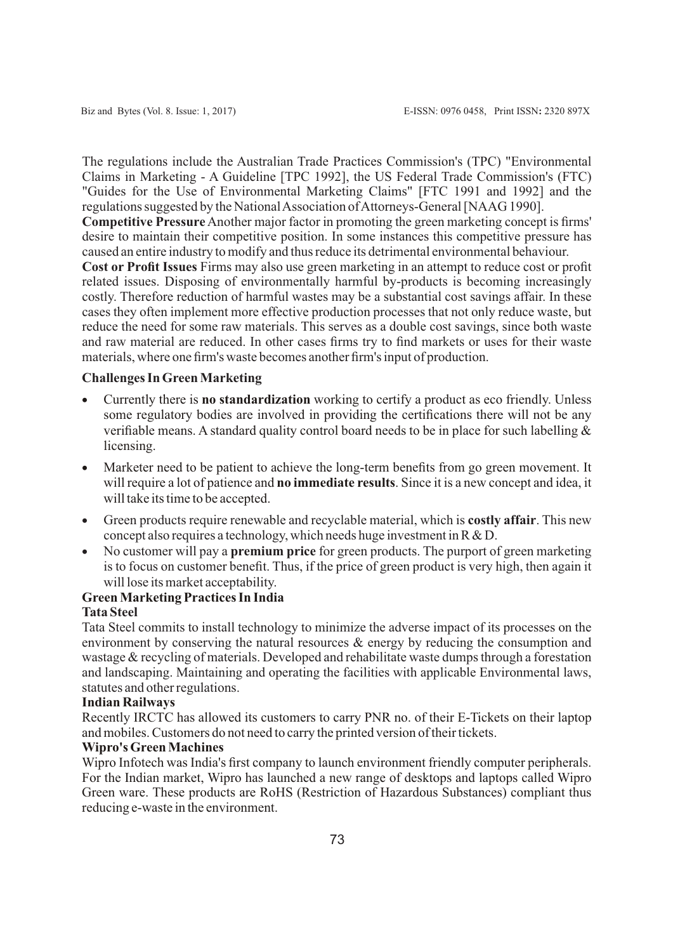The regulations include the Australian Trade Practices Commission's (TPC) "Environmental Claims in Marketing - A Guideline [TPC 1992], the US Federal Trade Commission's (FTC) "Guides for the Use of Environmental Marketing Claims" [FTC 1991 and 1992] and the regulations suggested by the National Association of Attorneys-General [NAAG 1990].

**Competitive Pressure** Another major factor in promoting the green marketing concept is firms' desire to maintain their competitive position. In some instances this competitive pressure has caused an entire industry to modify and thus reduce its detrimental environmental behaviour.

**Cost or Profit Issues** Firms may also use green marketing in an attempt to reduce cost or profit related issues. Disposing of environmentally harmful by-products is becoming increasingly costly. Therefore reduction of harmful wastes may be a substantial cost savings affair. In these cases they often implement more effective production processes that not only reduce waste, but reduce the need for some raw materials. This serves as a double cost savings, since both waste and raw material are reduced. In other cases firms try to find markets or uses for their waste materials, where one firm's waste becomes another firm's input of production.

## **Challenges In Green Marketing**

- · Currently there is **no standardization** working to certify a product as eco friendly. Unless some regulatory bodies are involved in providing the certifications there will not be any verifiable means. A standard quality control board needs to be in place for such labelling & licensing.
- · Marketer need to be patient to achieve the long-term benefits from go green movement. It will require a lot of patience and **no immediate results**. Since it is a new concept and idea, it will take its time to be accepted.
- · Green products require renewable and recyclable material, which is **costly affair**. This new concept also requires a technology, which needs huge investment in R & D.
- · No customer will pay a **premium price** for green products. The purport of green marketing is to focus on customer benefit. Thus, if the price of green product is very high, then again it will lose its market acceptability.

# **Green Marketing Practices In India**

# **Tata Steel**

Tata Steel commits to install technology to minimize the adverse impact of its processes on the environment by conserving the natural resources & energy by reducing the consumption and wastage & recycling of materials. Developed and rehabilitate waste dumps through a forestation and landscaping. Maintaining and operating the facilities with applicable Environmental laws, statutes and other regulations.

## **Indian Railways**

Recently IRCTC has allowed its customers to carry PNR no. of their E-Tickets on their laptop and mobiles. Customers do not need to carry the printed version of their tickets.

# **Wipro's Green Machines**

Wipro Infotech was India's first company to launch environment friendly computer peripherals. For the Indian market, Wipro has launched a new range of desktops and laptops called Wipro Green ware. These products are RoHS (Restriction of Hazardous Substances) compliant thus reducing e-waste in the environment.